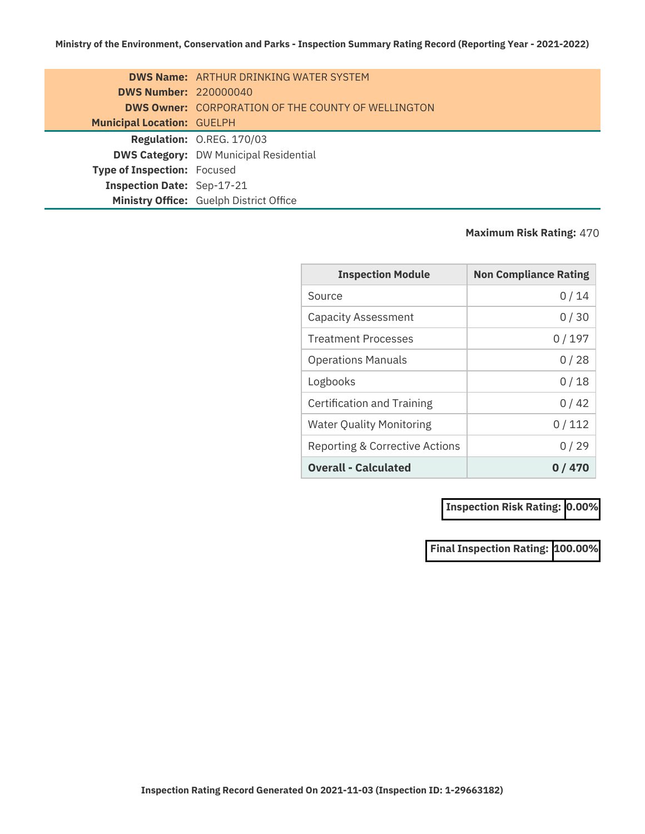|                                    | <b>DWS Name:</b> ARTHUR DRINKING WATER SYSTEM             |
|------------------------------------|-----------------------------------------------------------|
| <b>DWS Number: 220000040</b>       |                                                           |
|                                    | <b>DWS Owner:</b> CORPORATION OF THE COUNTY OF WELLINGTON |
| <b>Municipal Location: GUELPH</b>  |                                                           |
|                                    | Regulation: O.REG. 170/03                                 |
|                                    | <b>DWS Category: DW Municipal Residential</b>             |
| <b>Type of Inspection: Focused</b> |                                                           |
| Inspection Date: Sep-17-21         |                                                           |
|                                    | Ministry Office: Guelph District Office                   |

## **Maximum Risk Rating:** 470

| <b>Inspection Module</b>        | <b>Non Compliance Rating</b> |
|---------------------------------|------------------------------|
| Source                          | 0 / 14                       |
| <b>Capacity Assessment</b>      | 0/30                         |
| <b>Treatment Processes</b>      | 0/197                        |
| <b>Operations Manuals</b>       | 0/28                         |
| Logbooks                        | 0/18                         |
| Certification and Training      | 0 / 42                       |
| <b>Water Quality Monitoring</b> | 0/112                        |
| Reporting & Corrective Actions  | 0/29                         |
| <b>Overall - Calculated</b>     | 0 / 470                      |

**Inspection Risk Rating: 0.00%**

**Final Inspection Rating: 100.00%**